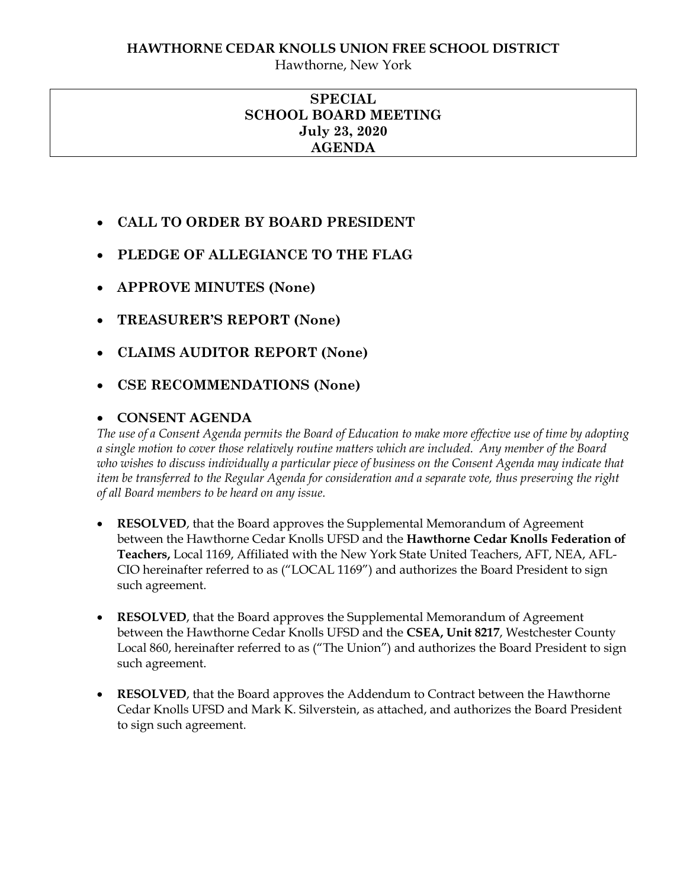## **HAWTHORNE CEDAR KNOLLS UNION FREE SCHOOL DISTRICT**

Hawthorne, New York

### **SPECIAL SCHOOL BOARD MEETING July 23, 2020 AGENDA**

- **CALL TO ORDER BY BOARD PRESIDENT**
- **PLEDGE OF ALLEGIANCE TO THE FLAG**
- **APPROVE MINUTES (None)**
- **TREASURER'S REPORT (None)**
- **CLAIMS AUDITOR REPORT (None)**
- **CSE RECOMMENDATIONS (None)**

# **CONSENT AGENDA**

*The use of a Consent Agenda permits the Board of Education to make more effective use of time by adopting a single motion to cover those relatively routine matters which are included. Any member of the Board who wishes to discuss individually a particular piece of business on the Consent Agenda may indicate that item be transferred to the Regular Agenda for consideration and a separate vote, thus preserving the right of all Board members to be heard on any issue.* 

- **RESOLVED**, that the Board approves the Supplemental Memorandum of Agreement between the Hawthorne Cedar Knolls UFSD and the **Hawthorne Cedar Knolls Federation of Teachers,** Local 1169, Affiliated with the New York State United Teachers, AFT, NEA, AFL-CIO hereinafter referred to as ("LOCAL 1169") and authorizes the Board President to sign such agreement.
- **RESOLVED**, that the Board approves the Supplemental Memorandum of Agreement between the Hawthorne Cedar Knolls UFSD and the **CSEA, Unit 8217**, Westchester County Local 860, hereinafter referred to as ("The Union") and authorizes the Board President to sign such agreement.
- **RESOLVED**, that the Board approves the Addendum to Contract between the Hawthorne Cedar Knolls UFSD and Mark K. Silverstein, as attached, and authorizes the Board President to sign such agreement.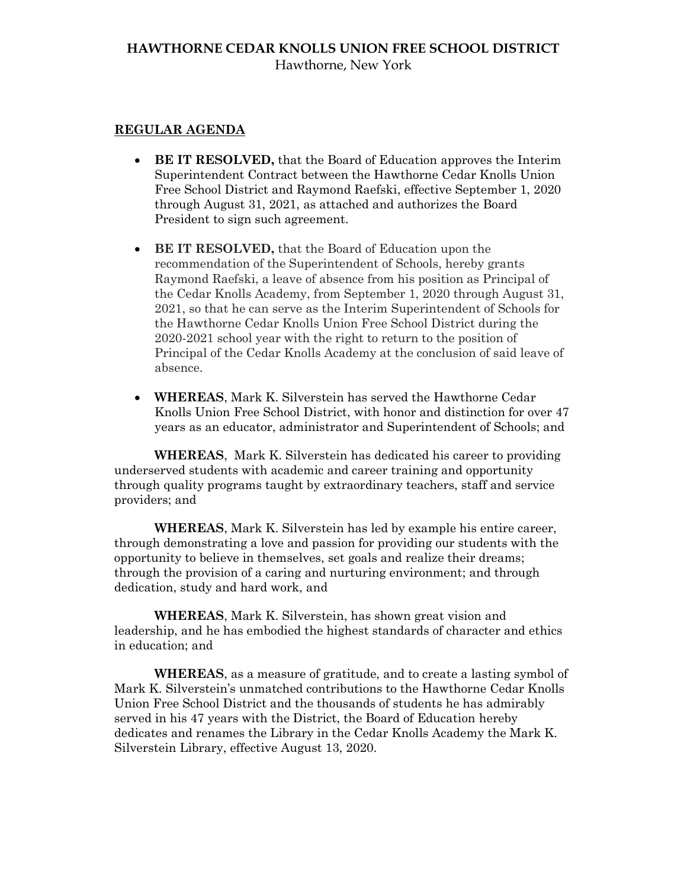#### **HAWTHORNE CEDAR KNOLLS UNION FREE SCHOOL DISTRICT** Hawthorne, New York

#### **REGULAR AGENDA**

- **BE IT RESOLVED,** that the Board of Education approves the Interim Superintendent Contract between the Hawthorne Cedar Knolls Union Free School District and Raymond Raefski, effective September 1, 2020 through August 31, 2021, as attached and authorizes the Board President to sign such agreement.
- **BE IT RESOLVED,** that the Board of Education upon the recommendation of the Superintendent of Schools, hereby grants Raymond Raefski, a leave of absence from his position as Principal of the Cedar Knolls Academy, from September 1, 2020 through August 31, 2021, so that he can serve as the Interim Superintendent of Schools for the Hawthorne Cedar Knolls Union Free School District during the 2020-2021 school year with the right to return to the position of Principal of the Cedar Knolls Academy at the conclusion of said leave of absence.
- **WHEREAS**, Mark K. Silverstein has served the Hawthorne Cedar Knolls Union Free School District, with honor and distinction for over 47 years as an educator, administrator and Superintendent of Schools; and

**WHEREAS**, Mark K. Silverstein has dedicated his career to providing underserved students with academic and career training and opportunity through quality programs taught by extraordinary teachers, staff and service providers; and

**WHEREAS**, Mark K. Silverstein has led by example his entire career, through demonstrating a love and passion for providing our students with the opportunity to believe in themselves, set goals and realize their dreams; through the provision of a caring and nurturing environment; and through dedication, study and hard work, and

**WHEREAS**, Mark K. Silverstein, has shown great vision and leadership, and he has embodied the highest standards of character and ethics in education; and

**WHEREAS**, as a measure of gratitude, and to create a lasting symbol of Mark K. Silverstein's unmatched contributions to the Hawthorne Cedar Knolls Union Free School District and the thousands of students he has admirably served in his 47 years with the District, the Board of Education hereby dedicates and renames the Library in the Cedar Knolls Academy the Mark K. Silverstein Library, effective August 13, 2020.